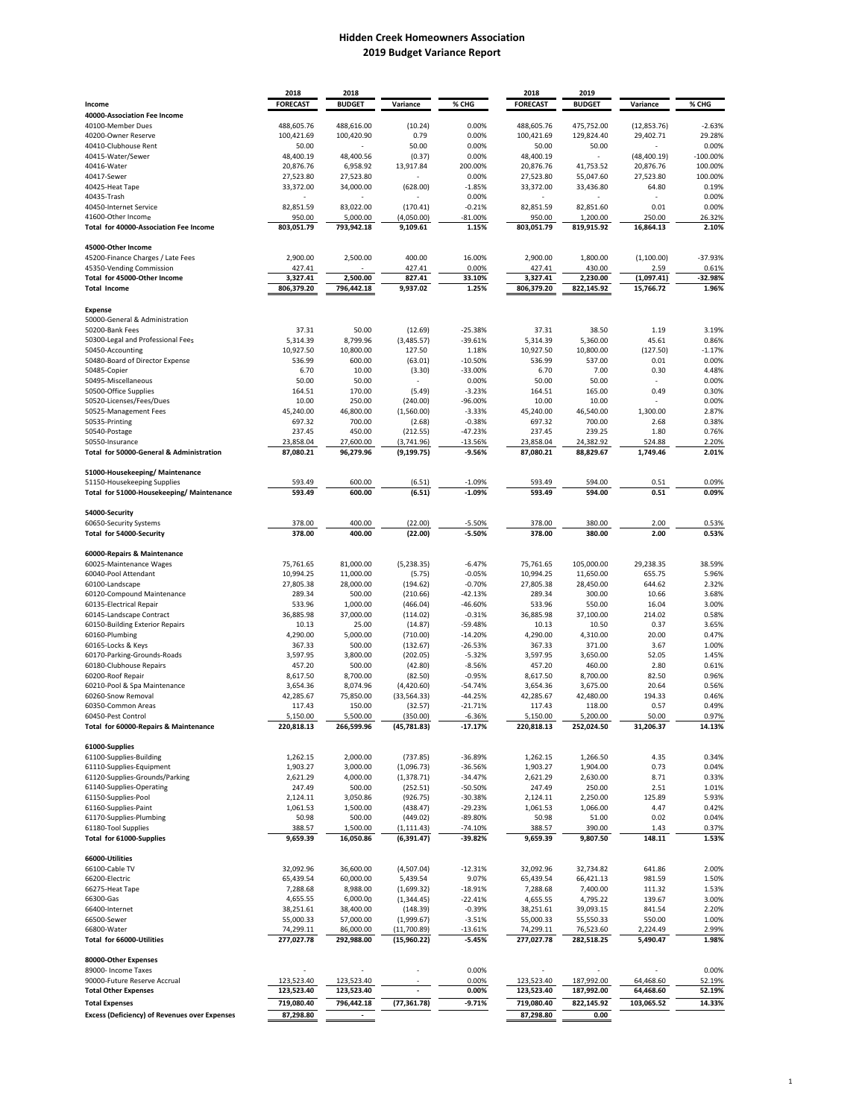## **Hidden Creek Homeowners Association 2019 Budget Variance Report**

|                                                      | 2018            | 2018          |              |            | 2018            | 2019          |              |            |
|------------------------------------------------------|-----------------|---------------|--------------|------------|-----------------|---------------|--------------|------------|
| Income                                               | <b>FORECAST</b> | <b>BUDGET</b> | Variance     | % CHG      | <b>FORECAST</b> | <b>BUDGET</b> | Variance     | % CHG      |
| 40000-Association Fee Income                         |                 |               |              |            |                 |               |              |            |
| 40100-Member Dues                                    | 488,605.76      | 488,616.00    | (10.24)      | 0.00%      | 488,605.76      | 475,752.00    | (12, 853.76) | $-2.63%$   |
| 40200-Owner Reserve                                  | 100,421.69      | 100,420.90    | 0.79         | 0.00%      | 100,421.69      | 129,824.40    | 29,402.71    | 29.28%     |
| 40410-Clubhouse Rent                                 | 50.00           |               | 50.00        | 0.00%      | 50.00           | 50.00         |              | 0.00%      |
| 40415-Water/Sewer                                    | 48,400.19       | 48,400.56     | (0.37)       | 0.00%      | 48,400.19       |               | (48, 400.19) | $-100.00%$ |
| 40416-Water                                          | 20,876.76       | 6,958.92      | 13,917.84    | 200.00%    | 20,876.76       | 41,753.52     | 20,876.76    | 100.00%    |
| 40417-Sewer                                          | 27,523.80       | 27,523.80     |              | 0.00%      | 27,523.80       | 55,047.60     | 27,523.80    | 100.00%    |
| 40425-Heat Tape                                      | 33,372.00       | 34,000.00     | (628.00)     | $-1.85%$   | 33,372.00       | 33,436.80     | 64.80        | 0.19%      |
| 40435-Trash                                          |                 |               |              | 0.00%      |                 |               |              | 0.00%      |
|                                                      |                 |               |              |            |                 |               |              |            |
| 40450-Internet Service                               | 82,851.59       | 83,022.00     | (170.41)     | $-0.21%$   | 82,851.59       | 82,851.60     | 0.01         | 0.00%      |
| 41600-Other Income                                   | 950.00          | 5,000.00      | (4,050.00)   | $-81.00\%$ | 950.00          | 1,200.00      | 250.00       | 26.32%     |
| Total for 40000-Association Fee Income               | 803,051.79      | 793,942.18    | 9,109.61     | 1.15%      | 803,051.79      | 819,915.92    | 16,864.13    | 2.10%      |
|                                                      |                 |               |              |            |                 |               |              |            |
| 45000-Other Income                                   |                 |               |              |            |                 |               |              |            |
| 45200-Finance Charges / Late Fees                    | 2,900.00        | 2,500.00      | 400.00       | 16.00%     | 2,900.00        | 1,800.00      | (1,100.00)   | $-37.93%$  |
| 45350-Vending Commission                             | 427.41          |               | 427.41       | 0.00%      | 427.41          | 430.00        | 2.59         | 0.61%      |
| Total for 45000-Other Income                         | 3,327.41        | 2,500.00      | 827.41       | 33.10%     | 3,327.41        | 2,230.00      | (1,097.41)   | $-32.98%$  |
| <b>Total Income</b>                                  | 806,379.20      | 796,442.18    | 9,937.02     | 1.25%      | 806,379.20      | 822,145.92    | 15,766.72    | 1.96%      |
|                                                      |                 |               |              |            |                 |               |              |            |
| <b>Expense</b>                                       |                 |               |              |            |                 |               |              |            |
| 50000-General & Administration                       |                 |               |              |            |                 |               |              |            |
| 50200-Bank Fees                                      | 37.31           | 50.00         | (12.69)      | $-25.38%$  | 37.31           | 38.50         | 1.19         | 3.19%      |
| 50300-Legal and Professional Fees                    | 5,314.39        | 8,799.96      | (3,485.57)   | $-39.61%$  | 5,314.39        | 5,360.00      | 45.61        | 0.86%      |
| 50450-Accounting                                     | 10,927.50       | 10,800.00     | 127.50       | 1.18%      | 10,927.50       | 10,800.00     | (127.50)     | $-1.17%$   |
| 50480-Board of Director Expense                      | 536.99          | 600.00        |              |            |                 |               | 0.01         | 0.00%      |
|                                                      | 6.70            |               | (63.01)      | $-10.50%$  | 536.99          | 537.00        | 0.30         |            |
| 50485-Copier                                         |                 | 10.00         | (3.30)       | $-33.00%$  | 6.70            | 7.00          |              | 4.48%      |
| 50495-Miscellaneous                                  | 50.00           | 50.00         |              | 0.00%      | 50.00           | 50.00         |              | 0.00%      |
| 50500-Office Supplies                                | 164.51          | 170.00        | (5.49)       | $-3.23%$   | 164.51          | 165.00        | 0.49         | 0.30%      |
| 50520-Licenses/Fees/Dues                             | 10.00           | 250.00        | (240.00)     | -96.00%    | 10.00           | 10.00         |              | 0.00%      |
| 50525-Management Fees                                | 45,240.00       | 46,800.00     | (1,560.00)   | $-3.33%$   | 45,240.00       | 46,540.00     | 1,300.00     | 2.87%      |
| 50535-Printing                                       | 697.32          | 700.00        | (2.68)       | $-0.38%$   | 697.32          | 700.00        | 2.68         | 0.38%      |
| 50540-Postage                                        | 237.45          | 450.00        | (212.55)     | $-47.23%$  | 237.45          | 239.25        | 1.80         | 0.76%      |
| 50550-Insurance                                      | 23,858.04       | 27,600.00     | (3,741.96)   | $-13.56%$  | 23,858.04       | 24.382.92     | 524.88       | 2.20%      |
| Total for 50000-General & Administration             | 87.080.21       | 96,279.96     | (9, 199.75)  | $-9.56%$   | 87.080.21       | 88,829.67     | 1,749.46     | 2.01%      |
|                                                      |                 |               |              |            |                 |               |              |            |
| 51000-Housekeeping/Maintenance                       |                 |               |              |            |                 |               |              |            |
| 51150-Housekeeping Supplies                          | 593.49          | 600.00        | (6.51)       | $-1.09%$   | 593.49          | 594.00        | 0.51         | 0.09%      |
| Total for 51000-Housekeeping/Maintenance             | 593.49          | 600.00        | (6.51)       | $-1.09%$   | 593.49          | 594.00        | 0.51         | 0.09%      |
|                                                      |                 |               |              |            |                 |               |              |            |
| 54000-Security                                       |                 |               |              |            |                 |               |              |            |
| 60650-Security Systems                               | 378.00          | 400.00        | (22.00)      | $-5.50%$   | 378.00          | 380.00        | 2.00         | 0.53%      |
| Total for 54000-Security                             | 378.00          | 400.00        | (22.00)      | $-5.50%$   | 378.00          | 380.00        | 2.00         | 0.53%      |
|                                                      |                 |               |              |            |                 |               |              |            |
| 60000-Repairs & Maintenance                          |                 |               |              |            |                 |               |              |            |
| 60025-Maintenance Wages                              | 75,761.65       | 81,000.00     | (5,238.35)   | $-6.47%$   | 75,761.65       | 105,000.00    | 29,238.35    | 38.59%     |
|                                                      |                 |               |              |            |                 |               |              |            |
| 60040-Pool Attendant                                 | 10,994.25       | 11,000.00     | (5.75)       | $-0.05%$   | 10,994.25       | 11,650.00     | 655.75       | 5.96%      |
| 60100-Landscape                                      | 27,805.38       | 28,000.00     | (194.62)     | $-0.70%$   | 27,805.38       | 28,450.00     | 644.62       | 2.32%      |
| 60120-Compound Maintenance                           | 289.34          | 500.00        | (210.66)     | $-42.13%$  | 289.34          | 300.00        | 10.66        | 3.68%      |
| 60135-Electrical Repair                              | 533.96          | 1,000.00      | (466.04)     | -46.60%    | 533.96          | 550.00        | 16.04        | 3.00%      |
| 60145-Landscape Contract                             | 36,885.98       | 37,000.00     | (114.02)     | $-0.31%$   | 36,885.98       | 37,100.00     | 214.02       | 0.58%      |
| 60150-Building Exterior Repairs                      | 10.13           | 25.00         | (14.87)      | -59.48%    | 10.13           | 10.50         | 0.37         | 3.65%      |
| 60160-Plumbing                                       | 4,290.00        | 5,000.00      | (710.00)     | $-14.20%$  | 4,290.00        | 4,310.00      | 20.00        | 0.47%      |
| 60165-Locks & Keys                                   | 367.33          | 500.00        | (132.67)     | $-26.53%$  | 367.33          | 371.00        | 3.67         | 1.00%      |
| 60170-Parking-Grounds-Roads                          | 3,597.95        | 3,800.00      | (202.05)     | $-5.32%$   | 3,597.95        | 3,650.00      | 52.05        | 1.45%      |
| 60180-Clubhouse Repairs                              | 457.20          | 500.00        | (42.80)      | $-8.56%$   | 457.20          | 460.00        | 2.80         | 0.61%      |
| 60200-Roof Repair                                    | 8,617.50        | 8,700.00      | (82.50)      | $-0.95%$   | 8,617.50        | 8,700.00      | 82.50        | 0.96%      |
| 60210-Pool & Spa Maintenance                         | 3,654.36        | 8,074.96      | (4,420.60)   | $-54.74%$  | 3,654.36        | 3,675.00      | 20.64        | 0.56%      |
| 60260-Snow Removal                                   | 42,285.67       | 75,850.00     | (33, 564.33) | $-44.25%$  | 42,285.67       | 42,480.00     | 194.33       | 0.46%      |
| 60350-Common Areas                                   | 117.43          | 150.00        | (32.57)      | $-21.71%$  | 117.43          | 118.00        | 0.57         | 0.49%      |
| 60450-Pest Control                                   | 5,150.00        | 5,500.00      | (350.00)     | $-6.36%$   | 5,150.00        | 5,200.00      | 50.00        | 0.97%      |
| Total for 60000-Repairs & Maintenance                | 220,818.13      | 266,599.96    | (45, 781.83) | $-17.17%$  | 220,818.13      | 252,024.50    | 31,206.37    | 14.13%     |
|                                                      |                 |               |              |            |                 |               |              |            |
| 61000-Supplies                                       |                 |               |              |            |                 |               |              |            |
| 61100-Supplies-Building                              | 1,262.15        | 2,000.00      | (737.85)     | $-36.89%$  | 1,262.15        | 1,266.50      | 4.35         | 0.34%      |
| 61110-Supplies-Equipment                             | 1,903.27        | 3,000.00      | (1,096.73)   | $-36.56%$  | 1,903.27        | 1,904.00      | 0.73         | 0.04%      |
| 61120-Supplies-Grounds/Parking                       | 2,621.29        | 4,000.00      | (1, 378.71)  | $-34.47%$  | 2,621.29        | 2,630.00      | 8.71         | 0.33%      |
| 61140-Supplies-Operating                             | 247.49          | 500.00        |              | $-50.50%$  | 247.49          | 250.00        | 2.51         | 1.01%      |
| 61150-Supplies-Pool                                  | 2,124.11        | 3,050.86      | (252.51)     | $-30.38%$  | 2,124.11        | 2,250.00      | 125.89       | 5.93%      |
|                                                      |                 |               | (926.75)     |            |                 |               |              |            |
| 61160-Supplies-Paint                                 | 1,061.53        | 1,500.00      | (438.47)     | $-29.23%$  | 1,061.53        | 1,066.00      | 4.47         | 0.42%      |
| 61170-Supplies-Plumbing                              | 50.98           | 500.00        | (449.02)     | $-89.80%$  | 50.98           | 51.00         | 0.02         | 0.04%      |
| 61180-Tool Supplies                                  | 388.57          | 1,500.00      | (1, 111.43)  | $-74.10%$  | 388.57          | 390.00        | 1.43         | 0.37%      |
| Total for 61000-Supplies                             | 9,659.39        | 16,050.86     | (6, 391.47)  | -39.82%    | 9,659.39        | 9,807.50      | 148.11       | 1.53%      |
|                                                      |                 |               |              |            |                 |               |              |            |
| 66000-Utilities                                      |                 |               |              |            |                 |               |              |            |
| 66100-Cable TV                                       | 32,092.96       | 36,600.00     | (4,507.04)   | $-12.31%$  | 32,092.96       | 32,734.82     | 641.86       | 2.00%      |
| 66200-Electric                                       | 65,439.54       | 60,000.00     | 5,439.54     | 9.07%      | 65,439.54       | 66,421.13     | 981.59       | 1.50%      |
| 66275-Heat Tape                                      | 7,288.68        | 8,988.00      | (1,699.32)   | $-18.91%$  | 7,288.68        | 7,400.00      | 111.32       | 1.53%      |
| 66300-Gas                                            | 4,655.55        | 6,000.00      | (1, 344.45)  | $-22.41%$  | 4,655.55        | 4,795.22      | 139.67       | 3.00%      |
| 66400-Internet                                       | 38,251.61       | 38,400.00     | (148.39)     | $-0.39%$   | 38,251.61       | 39,093.15     | 841.54       | 2.20%      |
| 66500-Sewer                                          | 55,000.33       | 57,000.00     | (1,999.67)   | $-3.51%$   | 55,000.33       | 55,550.33     | 550.00       | 1.00%      |
| 66800-Water                                          | 74,299.11       | 86,000.00     | (11,700.89)  | $-13.61%$  | 74,299.11       | 76,523.60     | 2,224.49     | 2.99%      |
| Total for 66000-Utilities                            | 277,027.78      | 292,988.00    | (15,960.22)  | $-5.45%$   | 277,027.78      | 282,518.25    | 5,490.47     | 1.98%      |
|                                                      |                 |               |              |            |                 |               |              |            |
| 80000-Other Expenses                                 |                 |               |              |            |                 |               |              |            |
| 89000- Income Taxes                                  |                 |               |              | 0.00%      |                 |               |              | 0.00%      |
| 90000-Future Reserve Accrual                         | 123,523.40      | 123,523.40    |              | 0.00%      | 123,523.40      | 187,992.00    | 64,468.60    | 52.19%     |
| <b>Total Other Expenses</b>                          | 123,523.40      | 123,523.40    |              | 0.00%      | 123,523.40      | 187,992.00    | 64,468.60    | 52.19%     |
|                                                      |                 |               |              |            |                 |               |              |            |
| <b>Total Expenses</b>                                | 719,080.40      | 796,442.18    | (77, 361.78) | $-9.71%$   | 719,080.40      | 822,145.92    | 103,065.52   | 14.33%     |
| <b>Excess (Deficiency) of Revenues over Expenses</b> | 87,298.80       |               |              |            | 87,298.80       | 0.00          |              |            |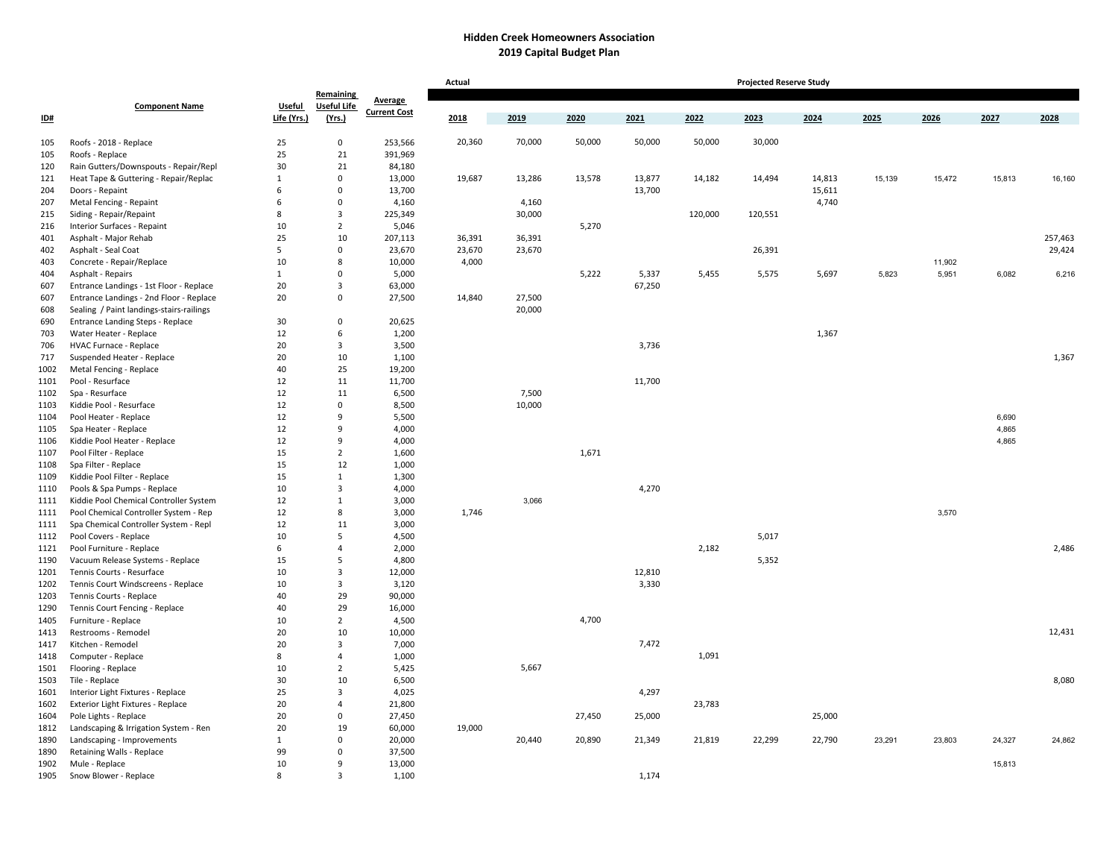## **Hidden Creek Homeowners Association 2019 Capital Budget Plan**

|            |                                                      |                   |                         |                     | Actual<br><b>Projected Reserve Study</b> |        |        |        |         |         |                  |        |        |        |         |  |
|------------|------------------------------------------------------|-------------------|-------------------------|---------------------|------------------------------------------|--------|--------|--------|---------|---------|------------------|--------|--------|--------|---------|--|
|            |                                                      |                   | Remaining               | Average             |                                          |        |        |        |         |         |                  |        |        |        |         |  |
|            | <b>Component Name</b>                                | <b>Useful</b>     | <b>Useful Life</b>      | <b>Current Cost</b> |                                          |        |        |        |         |         |                  |        |        |        |         |  |
| ID#        |                                                      | Life (Yrs.)       | (Yrs.)                  |                     | 2018                                     | 2019   | 2020   | 2021   | 2022    | 2023    | 2024             | 2025   | 2026   | 2027   | 2028    |  |
|            |                                                      |                   |                         |                     |                                          |        |        |        |         |         |                  |        |        |        |         |  |
| 105        | Roofs - 2018 - Replace                               | 25<br>25          | $\mathbf 0$<br>21       | 253,566<br>391,969  | 20,360                                   | 70,000 | 50,000 | 50,000 | 50,000  | 30,000  |                  |        |        |        |         |  |
| 105        | Roofs - Replace                                      | 30                | 21                      |                     |                                          |        |        |        |         |         |                  |        |        |        |         |  |
| 120        | Rain Gutters/Downspouts - Repair/Repl                |                   | $\mathbf 0$             | 84,180<br>13,000    |                                          |        |        | 13,877 | 14,182  |         |                  |        |        |        |         |  |
| 121        | Heat Tape & Guttering - Repair/Replac                | $\mathbf{1}$<br>6 | $\mathbf 0$             | 13,700              | 19,687                                   | 13,286 | 13,578 | 13,700 |         | 14,494  | 14,813<br>15,611 | 15,139 | 15,472 | 15,813 | 16,160  |  |
| 204        | Doors - Repaint                                      | 6                 | $\mathsf 0$             |                     |                                          | 4,160  |        |        |         |         | 4,740            |        |        |        |         |  |
| 207        | Metal Fencing - Repaint                              | 8                 | $\overline{\mathbf{3}}$ | 4,160<br>225,349    |                                          | 30,000 |        |        | 120,000 | 120,551 |                  |        |        |        |         |  |
| 215        | Siding - Repair/Repaint                              | 10                | $\overline{2}$          |                     |                                          |        | 5,270  |        |         |         |                  |        |        |        |         |  |
| 216<br>401 | Interior Surfaces - Repaint<br>Asphalt - Major Rehab | 25                | 10                      | 5,046<br>207,113    | 36,391                                   | 36,391 |        |        |         |         |                  |        |        |        | 257,463 |  |
| 402        | Asphalt - Seal Coat                                  | 5                 | $\mathsf 0$             | 23,670              | 23,670                                   | 23,670 |        |        |         | 26,391  |                  |        |        |        | 29,424  |  |
| 403        | Concrete - Repair/Replace                            | 10                | 8                       | 10,000              | 4,000                                    |        |        |        |         |         |                  |        | 11,902 |        |         |  |
| 404        | Asphalt - Repairs                                    | $\mathbf{1}$      | $\Omega$                | 5,000               |                                          |        | 5,222  | 5,337  | 5,455   | 5,575   | 5,697            | 5,823  | 5,951  | 6,082  | 6,216   |  |
| 607        | Entrance Landings - 1st Floor - Replace              | 20                | $\overline{\mathbf{3}}$ | 63,000              |                                          |        |        | 67,250 |         |         |                  |        |        |        |         |  |
| 607        | Entrance Landings - 2nd Floor - Replace              | 20                | $\Omega$                | 27,500              | 14,840                                   | 27,500 |        |        |         |         |                  |        |        |        |         |  |
| 608        | Sealing / Paint landings-stairs-railings             |                   |                         |                     |                                          | 20,000 |        |        |         |         |                  |        |        |        |         |  |
| 690        | <b>Entrance Landing Steps - Replace</b>              | 30                | $\overline{0}$          | 20,625              |                                          |        |        |        |         |         |                  |        |        |        |         |  |
| 703        | Water Heater - Replace                               | 12                | 6                       | 1,200               |                                          |        |        |        |         |         | 1,367            |        |        |        |         |  |
| 706        | HVAC Furnace - Replace                               | 20                | $\overline{\mathbf{3}}$ | 3,500               |                                          |        |        | 3,736  |         |         |                  |        |        |        |         |  |
| 717        | Suspended Heater - Replace                           | 20                | 10                      | 1,100               |                                          |        |        |        |         |         |                  |        |        |        | 1,367   |  |
| 1002       | Metal Fencing - Replace                              | 40                | 25                      | 19,200              |                                          |        |        |        |         |         |                  |        |        |        |         |  |
| 1101       | Pool - Resurface                                     | 12                | 11                      | 11,700              |                                          |        |        | 11,700 |         |         |                  |        |        |        |         |  |
| 1102       | Spa - Resurface                                      | 12                | 11                      | 6,500               |                                          | 7,500  |        |        |         |         |                  |        |        |        |         |  |
| 1103       | Kiddie Pool - Resurface                              | 12                | $\mathsf 0$             | 8,500               |                                          | 10,000 |        |        |         |         |                  |        |        |        |         |  |
| 1104       | Pool Heater - Replace                                | 12                | 9                       | 5,500               |                                          |        |        |        |         |         |                  |        |        | 6,690  |         |  |
| 1105       | Spa Heater - Replace                                 | 12                | 9                       | 4,000               |                                          |        |        |        |         |         |                  |        |        | 4,865  |         |  |
| 1106       | Kiddie Pool Heater - Replace                         | 12                | 9                       | 4,000               |                                          |        |        |        |         |         |                  |        |        | 4,865  |         |  |
| 1107       | Pool Filter - Replace                                | 15                | $\overline{2}$          | 1,600               |                                          |        | 1,671  |        |         |         |                  |        |        |        |         |  |
| 1108       | Spa Filter - Replace                                 | 15                | 12                      | 1,000               |                                          |        |        |        |         |         |                  |        |        |        |         |  |
| 1109       | Kiddie Pool Filter - Replace                         | 15                | $\mathbf{1}$            | 1,300               |                                          |        |        |        |         |         |                  |        |        |        |         |  |
| 1110       | Pools & Spa Pumps - Replace                          | 10                | $\overline{\mathbf{3}}$ | 4,000               |                                          |        |        | 4,270  |         |         |                  |        |        |        |         |  |
| 1111       | Kiddie Pool Chemical Controller System               | 12                | $\mathbf{1}$            | 3,000               |                                          | 3,066  |        |        |         |         |                  |        |        |        |         |  |
| 1111       | Pool Chemical Controller System - Rep                | 12                | 8                       | 3,000               | 1,746                                    |        |        |        |         |         |                  |        | 3,570  |        |         |  |
| 1111       | Spa Chemical Controller System - Repl                | 12                | 11                      | 3,000               |                                          |        |        |        |         |         |                  |        |        |        |         |  |
| 1112       | Pool Covers - Replace                                | 10                | 5                       | 4,500               |                                          |        |        |        |         | 5,017   |                  |        |        |        |         |  |
| 1121       | Pool Furniture - Replace                             | 6                 | $\overline{4}$          | 2,000               |                                          |        |        |        | 2,182   |         |                  |        |        |        | 2,486   |  |
| 1190       | Vacuum Release Systems - Replace                     | 15                | 5                       | 4,800               |                                          |        |        |        |         | 5,352   |                  |        |        |        |         |  |
| 1201       | Tennis Courts - Resurface                            | 10                | $\overline{\mathbf{3}}$ | 12,000              |                                          |        |        | 12,810 |         |         |                  |        |        |        |         |  |
| 1202       | Tennis Court Windscreens - Replace                   | 10                | $\overline{\mathbf{3}}$ | 3,120               |                                          |        |        | 3,330  |         |         |                  |        |        |        |         |  |
| 1203       | Tennis Courts - Replace                              | 40                | 29                      | 90,000              |                                          |        |        |        |         |         |                  |        |        |        |         |  |
| 1290       | Tennis Court Fencing - Replace                       | 40                | 29                      | 16,000              |                                          |        |        |        |         |         |                  |        |        |        |         |  |
| 1405       | Furniture - Replace                                  | 10                | $\overline{2}$          | 4,500               |                                          |        | 4,700  |        |         |         |                  |        |        |        |         |  |
| 1413       | Restrooms - Remodel                                  | 20                | 10                      | 10,000              |                                          |        |        |        |         |         |                  |        |        |        | 12,431  |  |
| 1417       | Kitchen - Remodel                                    | 20                | $\overline{\mathbf{3}}$ | 7,000               |                                          |        |        | 7,472  |         |         |                  |        |        |        |         |  |
| 1418       | Computer - Replace                                   | 8                 | $\overline{4}$          | 1,000               |                                          |        |        |        | 1,091   |         |                  |        |        |        |         |  |
| 1501       | Flooring - Replace                                   | 10                | $\overline{2}$          | 5,425               |                                          | 5,667  |        |        |         |         |                  |        |        |        |         |  |
| 1503       | Tile - Replace                                       | 30                | 10                      | 6,500               |                                          |        |        |        |         |         |                  |        |        |        | 8,080   |  |
| 1601       | Interior Light Fixtures - Replace                    | 25                | $\overline{\mathbf{3}}$ | 4,025               |                                          |        |        | 4,297  |         |         |                  |        |        |        |         |  |
| 1602       | Exterior Light Fixtures - Replace                    | 20                | $\overline{4}$          | 21,800              |                                          |        |        |        | 23,783  |         |                  |        |        |        |         |  |
| 1604       | Pole Lights - Replace                                | 20                | $\overline{0}$          | 27,450              |                                          |        | 27,450 | 25,000 |         |         | 25,000           |        |        |        |         |  |
| 1812       | Landscaping & Irrigation System - Ren                | 20                | 19                      | 60,000              | 19,000                                   |        |        |        |         |         |                  |        |        |        |         |  |
| 1890       | Landscaping - Improvements                           | $\mathbf{1}$      | $\Omega$                | 20,000              |                                          | 20,440 | 20,890 | 21,349 | 21,819  | 22,299  | 22,790           | 23,291 | 23,803 | 24,327 | 24,862  |  |
| 1890       | Retaining Walls - Replace                            | 99                | $\mathbf 0$             | 37,500              |                                          |        |        |        |         |         |                  |        |        |        |         |  |
| 1902       | Mule - Replace                                       | 10                | 9                       | 13,000              |                                          |        |        |        |         |         |                  |        |        | 15,813 |         |  |
| 1905       | Snow Blower - Replace                                | 8                 | $\overline{3}$          | 1,100               |                                          |        |        | 1,174  |         |         |                  |        |        |        |         |  |